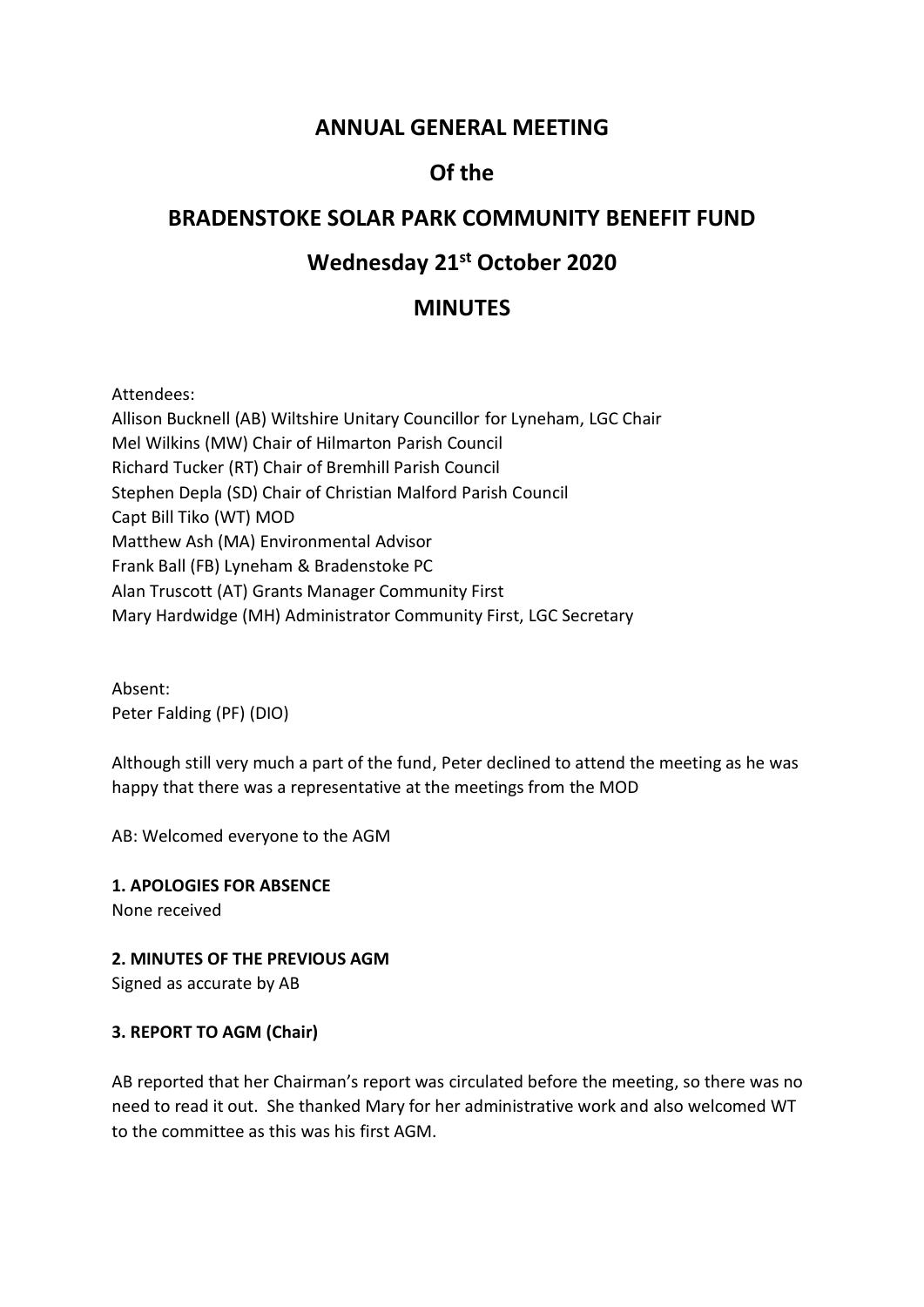# **ANNUAL GENERAL MEETING**

# **Of the**

# **BRADENSTOKE SOLAR PARK COMMUNITY BENEFIT FUND**

# **Wednesday 21st October 2020**

# **MINUTES**

Attendees:

Allison Bucknell (AB) Wiltshire Unitary Councillor for Lyneham, LGC Chair Mel Wilkins (MW) Chair of Hilmarton Parish Council Richard Tucker (RT) Chair of Bremhill Parish Council Stephen Depla (SD) Chair of Christian Malford Parish Council Capt Bill Tiko (WT) MOD Matthew Ash (MA) Environmental Advisor Frank Ball (FB) Lyneham & Bradenstoke PC Alan Truscott (AT) Grants Manager Community First Mary Hardwidge (MH) Administrator Community First, LGC Secretary

Absent: Peter Falding (PF) (DIO)

Although still very much a part of the fund, Peter declined to attend the meeting as he was happy that there was a representative at the meetings from the MOD

AB: Welcomed everyone to the AGM

**1. APOLOGIES FOR ABSENCE**

None received

**2. MINUTES OF THE PREVIOUS AGM**

Signed as accurate by AB

### **3. REPORT TO AGM (Chair)**

AB reported that her Chairman's report was circulated before the meeting, so there was no need to read it out. She thanked Mary for her administrative work and also welcomed WT to the committee as this was his first AGM.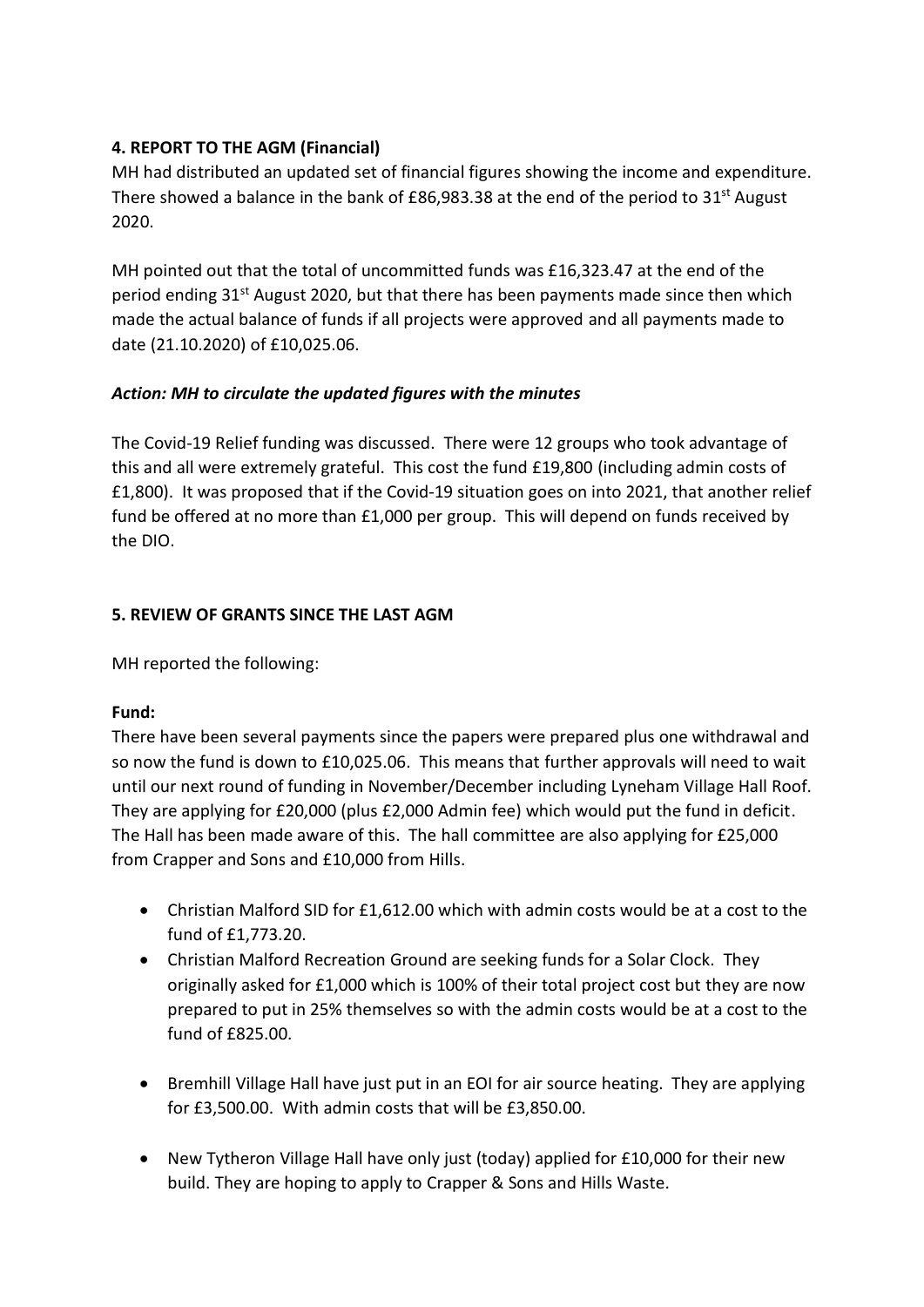## **4. REPORT TO THE AGM (Financial)**

MH had distributed an updated set of financial figures showing the income and expenditure. There showed a balance in the bank of £86,983.38 at the end of the period to 31<sup>st</sup> August 2020.

MH pointed out that the total of uncommitted funds was £16,323.47 at the end of the period ending 31<sup>st</sup> August 2020, but that there has been payments made since then which made the actual balance of funds if all projects were approved and all payments made to date (21.10.2020) of £10,025.06.

### *Action: MH to circulate the updated figures with the minutes*

The Covid-19 Relief funding was discussed. There were 12 groups who took advantage of this and all were extremely grateful. This cost the fund £19,800 (including admin costs of £1,800). It was proposed that if the Covid-19 situation goes on into 2021, that another relief fund be offered at no more than £1,000 per group. This will depend on funds received by the DIO.

### **5. REVIEW OF GRANTS SINCE THE LAST AGM**

MH reported the following:

### **Fund:**

There have been several payments since the papers were prepared plus one withdrawal and so now the fund is down to £10,025.06. This means that further approvals will need to wait until our next round of funding in November/December including Lyneham Village Hall Roof. They are applying for £20,000 (plus £2,000 Admin fee) which would put the fund in deficit. The Hall has been made aware of this. The hall committee are also applying for £25,000 from Crapper and Sons and £10,000 from Hills.

- Christian Malford SID for £1,612.00 which with admin costs would be at a cost to the fund of £1,773.20.
- Christian Malford Recreation Ground are seeking funds for a Solar Clock. They originally asked for £1,000 which is 100% of their total project cost but they are now prepared to put in 25% themselves so with the admin costs would be at a cost to the fund of £825.00.
- Bremhill Village Hall have just put in an EOI for air source heating. They are applying for £3,500.00. With admin costs that will be £3,850.00.
- New Tytheron Village Hall have only just (today) applied for £10,000 for their new build. They are hoping to apply to Crapper & Sons and Hills Waste.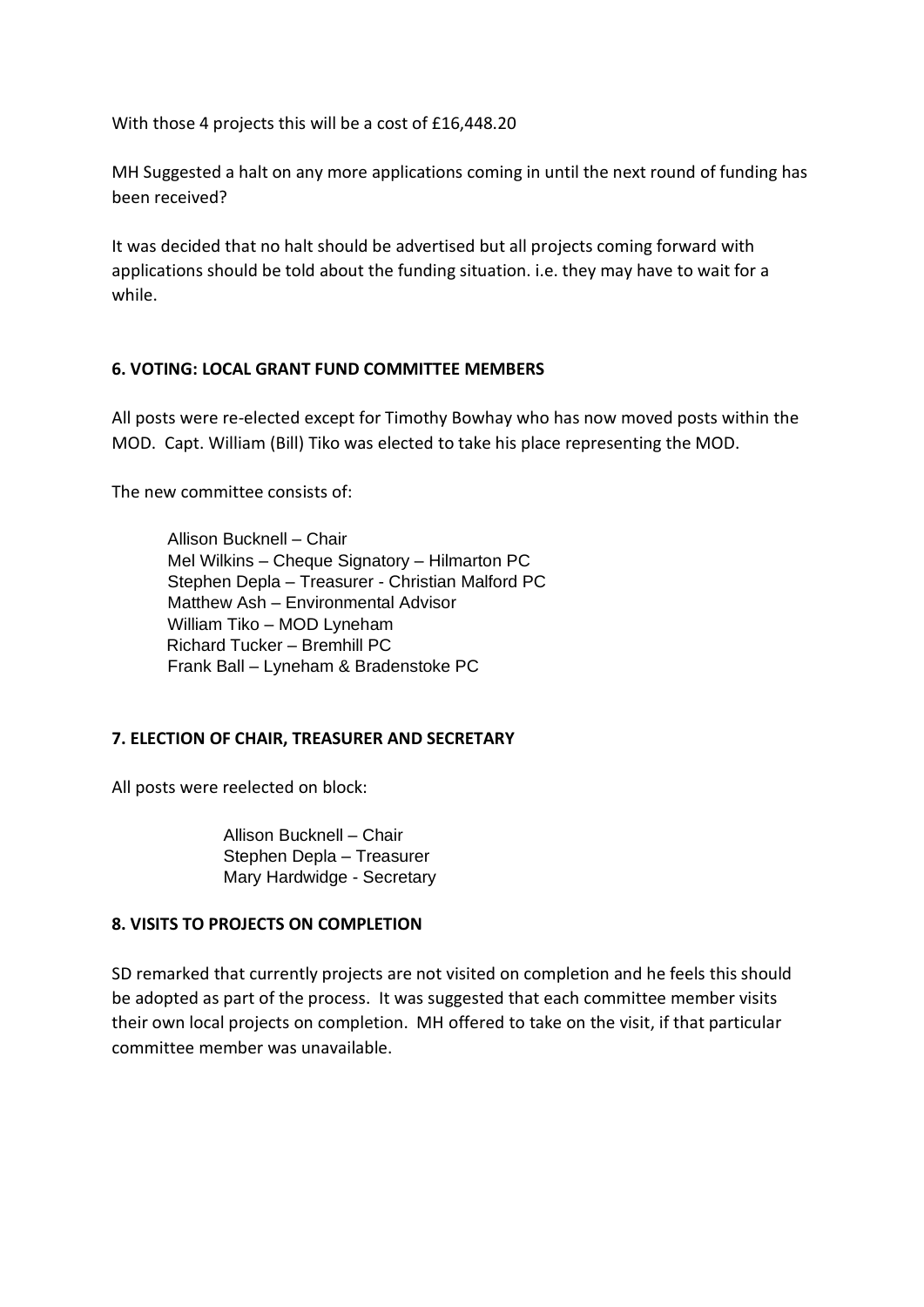With those 4 projects this will be a cost of £16,448.20

MH Suggested a halt on any more applications coming in until the next round of funding has been received?

It was decided that no halt should be advertised but all projects coming forward with applications should be told about the funding situation. i.e. they may have to wait for a while.

### **6. VOTING: LOCAL GRANT FUND COMMITTEE MEMBERS**

All posts were re-elected except for Timothy Bowhay who has now moved posts within the MOD. Capt. William (Bill) Tiko was elected to take his place representing the MOD.

The new committee consists of:

Allison Bucknell – Chair Mel Wilkins – Cheque Signatory – Hilmarton PC Stephen Depla – Treasurer - Christian Malford PC Matthew Ash – Environmental Advisor William Tiko – MOD Lyneham Richard Tucker – Bremhill PC Frank Ball – Lyneham & Bradenstoke PC

### **7. ELECTION OF CHAIR, TREASURER AND SECRETARY**

All posts were reelected on block:

Allison Bucknell – Chair Stephen Depla – Treasurer Mary Hardwidge - Secretary

#### **8. VISITS TO PROJECTS ON COMPLETION**

SD remarked that currently projects are not visited on completion and he feels this should be adopted as part of the process. It was suggested that each committee member visits their own local projects on completion. MH offered to take on the visit, if that particular committee member was unavailable.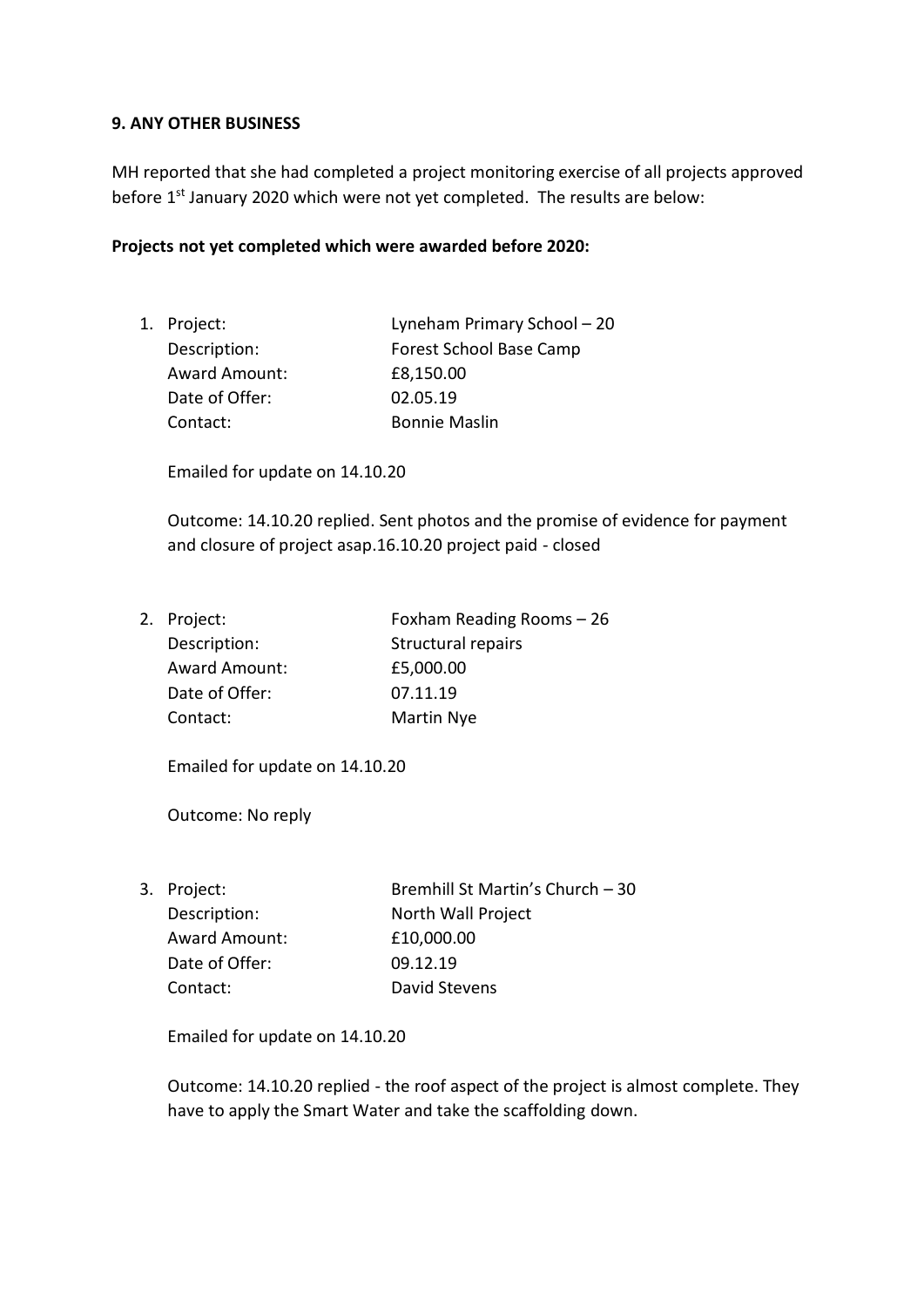#### **9. ANY OTHER BUSINESS**

MH reported that she had completed a project monitoring exercise of all projects approved before 1<sup>st</sup> January 2020 which were not yet completed. The results are below:

#### **Projects not yet completed which were awarded before 2020:**

1. Project: Lyneham Primary School – 20 Description: Forest School Base Camp Award Amount: £8,150.00 Date of Offer: 02.05.19 Contact: Bonnie Maslin

Emailed for update on 14.10.20

Outcome: 14.10.20 replied. Sent photos and the promise of evidence for payment and closure of project asap.16.10.20 project paid - closed

2. Project: Foxham Reading Rooms – 26 Description: Structural repairs Award Amount: £5,000.00 Date of Offer: 07.11.19 Contact: Martin Nye

Emailed for update on 14.10.20

Outcome: No reply

3. Project: Bremhill St Martin's Church – 30 Description: North Wall Project Award Amount: £10,000.00 Date of Offer: 09.12.19 Contact: David Stevens

Emailed for update on 14.10.20

Outcome: 14.10.20 replied - the roof aspect of the project is almost complete. They have to apply the Smart Water and take the scaffolding down.